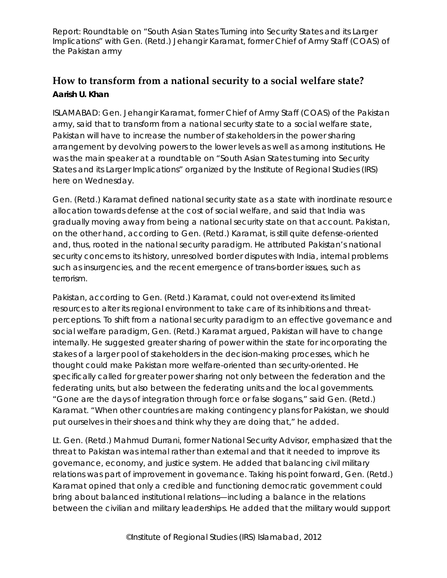Report: Roundtable on "South Asian States Turning into Security States and its Larger Implications" with Gen. (Retd.) Jehangir Karamat, former Chief of Army Staff (COAS) of the Pakistan army

## **How to transform from a national security to a social welfare state? Aarish U. Khan**

ISLAMABAD: Gen. Jehangir Karamat, former Chief of Army Staff (COAS) of the Pakistan army, said that to transform from a national security state to a social welfare state, Pakistan will have to increase the number of stakeholders in the power sharing arrangement by devolving powers to the lower levels as well as among institutions. He was the main speaker at a roundtable on "South Asian States turning into Security States and its Larger Implications" organized by the Institute of Regional Studies (IRS) here on Wednesday.

Gen. (Retd.) Karamat defined national security state as a state with inordinate resource allocation towards defense at the cost of social welfare, and said that India was gradually moving away from being a national security state on that account. Pakistan, on the other hand, according to Gen. (Retd.) Karamat, is still quite defense-oriented and, thus, rooted in the national security paradigm. He attributed Pakistan's national security concerns to its history, unresolved border disputes with India, internal problems such as insurgencies, and the recent emergence of trans-border issues, such as terrorism.

Pakistan, according to Gen. (Retd.) Karamat, could not over-extend its limited resources to alter its regional environment to take care of its inhibitions and threatperceptions. To shift from a national security paradigm to an effective governance and social welfare paradigm, Gen. (Retd.) Karamat argued, Pakistan will have to change internally. He suggested greater sharing of power within the state for incorporating the stakes of a larger pool of stakeholders in the decision-making processes, which he thought could make Pakistan more welfare-oriented than security-oriented. He specifically called for greater power sharing not only between the federation and the federating units, but also between the federating units and the local governments. "Gone are the days of integration through force or false slogans," said Gen. (Retd.) Karamat. "When other countries are making contingency plans for Pakistan, we should put ourselves in their shoes and think why they are doing that," he added.

Lt. Gen. (Retd.) Mahmud Durrani, former National Security Advisor, emphasized that the threat to Pakistan was internal rather than external and that it needed to improve its governance, economy, and justice system. He added that balancing civil military relations was part of improvement in governance. Taking his point forward, Gen. (Retd.) Karamat opined that only a credible and functioning democratic government could bring about balanced institutional relations—including a balance in the relations between the civilian and military leaderships. He added that the military would support